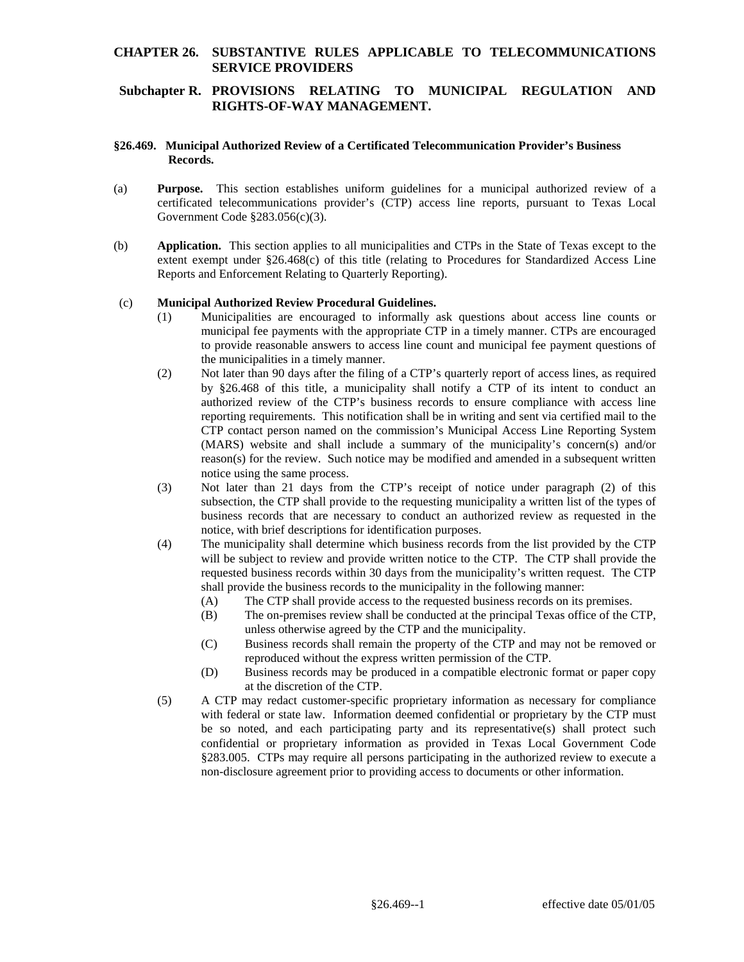### **CHAPTER 26. SUBSTANTIVE RULES APPLICABLE TO TELECOMMUNICATIONS SERVICE PROVIDERS**

## **Subchapter R. PROVISIONS RELATING TO MUNICIPAL REGULATION AND RIGHTS-OF-WAY MANAGEMENT.**

### **§26.469. Municipal Authorized Review of a Certificated Telecommunication Provider's Business Records.**

- (a) **Purpose.** This section establishes uniform guidelines for a municipal authorized review of a certificated telecommunications provider's (CTP) access line reports, pursuant to Texas Local Government Code §283.056(c)(3).
- (b) **Application.** This section applies to all municipalities and CTPs in the State of Texas except to the extent exempt under §26.468(c) of this title (relating to Procedures for Standardized Access Line Reports and Enforcement Relating to Quarterly Reporting).

#### (c) **Municipal Authorized Review Procedural Guidelines.**

- (1) Municipalities are encouraged to informally ask questions about access line counts or municipal fee payments with the appropriate CTP in a timely manner. CTPs are encouraged to provide reasonable answers to access line count and municipal fee payment questions of the municipalities in a timely manner.
- (2) Not later than 90 days after the filing of a CTP's quarterly report of access lines, as required by §26.468 of this title, a municipality shall notify a CTP of its intent to conduct an authorized review of the CTP's business records to ensure compliance with access line reporting requirements. This notification shall be in writing and sent via certified mail to the CTP contact person named on the commission's Municipal Access Line Reporting System (MARS) website and shall include a summary of the municipality's concern(s) and/or reason(s) for the review. Such notice may be modified and amended in a subsequent written notice using the same process.
- (3) Not later than 21 days from the CTP's receipt of notice under paragraph (2) of this subsection, the CTP shall provide to the requesting municipality a written list of the types of business records that are necessary to conduct an authorized review as requested in the notice, with brief descriptions for identification purposes.
- (4) The municipality shall determine which business records from the list provided by the CTP will be subject to review and provide written notice to the CTP. The CTP shall provide the requested business records within 30 days from the municipality's written request. The CTP shall provide the business records to the municipality in the following manner:
	- (A) The CTP shall provide access to the requested business records on its premises.
	- (B) The on-premises review shall be conducted at the principal Texas office of the CTP, unless otherwise agreed by the CTP and the municipality.
	- (C) Business records shall remain the property of the CTP and may not be removed or reproduced without the express written permission of the CTP.
	- (D) Business records may be produced in a compatible electronic format or paper copy at the discretion of the CTP.
- (5) A CTP may redact customer-specific proprietary information as necessary for compliance with federal or state law. Information deemed confidential or proprietary by the CTP must be so noted, and each participating party and its representative(s) shall protect such confidential or proprietary information as provided in Texas Local Government Code §283.005. CTPs may require all persons participating in the authorized review to execute a non-disclosure agreement prior to providing access to documents or other information.